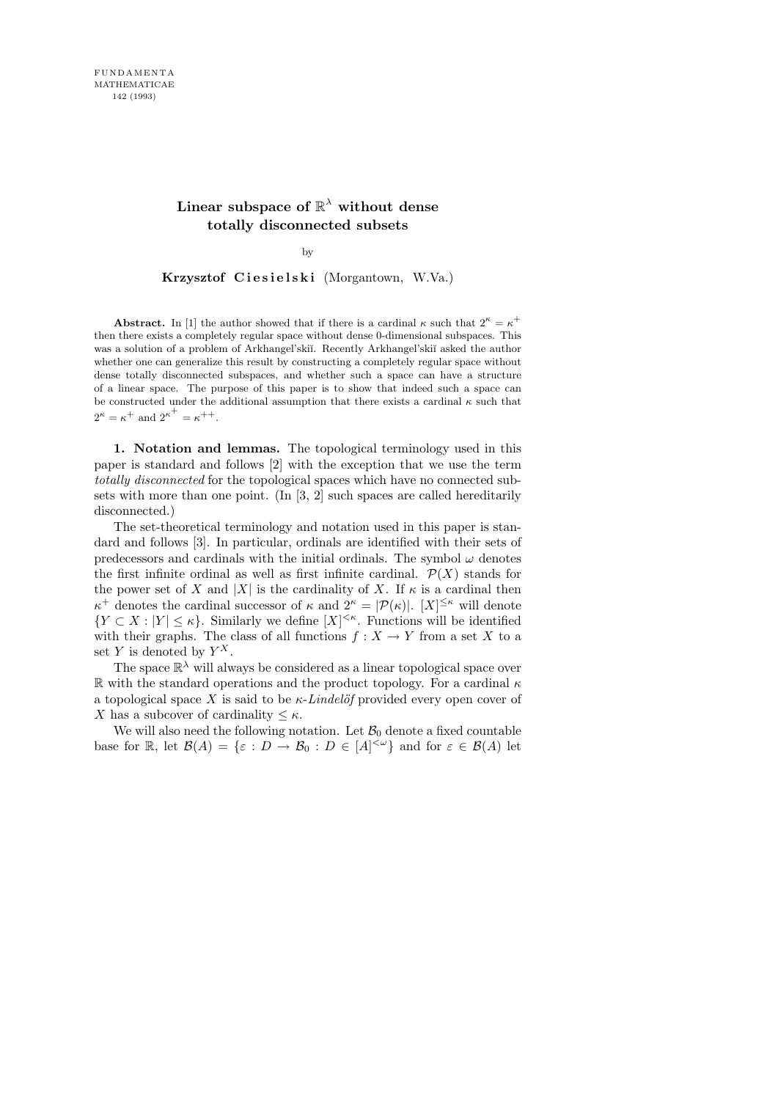## **Linear subspace of** R <sup>λ</sup> **without dense totally disconnected subsets**

by

Krzysztof Ciesielski (Morgantown, W.Va.)

**Abstract.** In [1] the author showed that if there is a cardinal  $\kappa$  such that  $2^{\kappa} = \kappa^+$ then there exists a completely regular space without dense 0-dimensional subspaces. This was a solution of a problem of Arkhangel'skiï. Recently Arkhangel'skiï asked the author whether one can generalize this result by constructing a completely regular space without dense totally disconnected subspaces, and whether such a space can have a structure of a linear space. The purpose of this paper is to show that indeed such a space can be constructed under the additional assumption that there exists a cardinal  $\kappa$  such that  $2^{\kappa} = \kappa^+$  and  $2^{\kappa^+} = \kappa^{++}$ .

1. Notation and lemmas. The topological terminology used in this paper is standard and follows [2] with the exception that we use the term totally disconnected for the topological spaces which have no connected subsets with more than one point. (In [3, 2] such spaces are called hereditarily disconnected.)

The set-theoretical terminology and notation used in this paper is standard and follows [3]. In particular, ordinals are identified with their sets of predecessors and cardinals with the initial ordinals. The symbol  $\omega$  denotes the first infinite ordinal as well as first infinite cardinal.  $\mathcal{P}(X)$  stands for the power set of X and |X| is the cardinality of X. If  $\kappa$  is a cardinal then  $\kappa^+$  denotes the cardinal successor of  $\kappa$  and  $2^{\kappa} = |\mathcal{P}(\kappa)|$ .  $[X]^{\leq \kappa}$  will denote  ${Y \subset X : |Y| \leq \kappa}$ . Similarly we define  $|X|^{<\kappa}$ . Functions will be identified with their graphs. The class of all functions  $f: X \to Y$  from a set X to a set Y is denoted by  $Y^X$ .

The space  $\mathbb{R}^{\lambda}$  will always be considered as a linear topological space over R with the standard operations and the product topology. For a cardinal  $\kappa$ a topological space X is said to be  $\kappa$ -Lindelöf provided every open cover of X has a subcover of cardinality  $\leq \kappa$ .

We will also need the following notation. Let  $B_0$  denote a fixed countable base for  $\mathbb{R}$ , let  $\mathcal{B}(A) = \{\varepsilon : D \to \mathcal{B}_0 : D \in [A]^{<\omega}\}\$ and for  $\varepsilon \in \mathcal{B}(A)$  let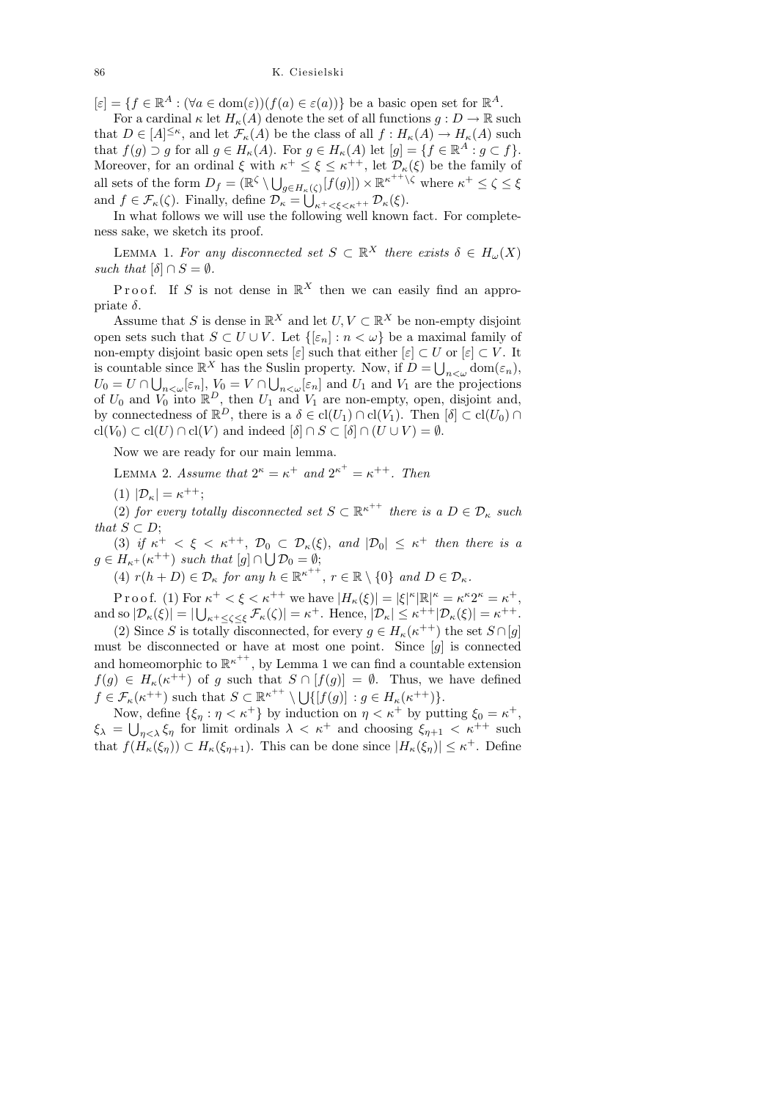## 86 K. Ciesielski

 $[\varepsilon] = \{ f \in \mathbb{R}^A : (\forall a \in \text{dom}(\varepsilon)) (f(a) \in \varepsilon(a)) \}$  be a basic open set for  $\mathbb{R}^A$ .

For a cardinal  $\kappa$  let  $H_{\kappa}(A)$  denote the set of all functions  $g: D \to \mathbb{R}$  such that  $D \in [A]^{\leq \kappa}$ , and let  $\mathcal{F}_{\kappa}(A)$  be the class of all  $f: H_{\kappa}(A) \to H_{\kappa}(A)$  such that  $f(g) \supset g$  for all  $g \in H_{\kappa}(A)$ . For  $g \in H_{\kappa}(A)$  let  $[g] = \{f \in \mathbb{R}^A : g \subset f\}.$ Moreover, for an ordinal  $\xi$  with  $\kappa^+ \leq \xi \leq \kappa^{++}$ , let  $\mathcal{D}_{\kappa}(\xi)$  be the family of all sets of the form  $D_f = (\mathbb{R}^{\zeta} \setminus \bigcup_{g \in H_{\kappa}(\zeta)} [f(g)] \times \mathbb{R}^{\kappa^{++} \setminus \zeta}$  where  $\kappa^+ \leq \zeta \leq \xi$ and  $f \in \mathcal{F}_{\kappa}(\zeta)$ . Finally, define  $\mathcal{D}_{\kappa} = \bigcup_{\kappa^+ < \xi < \kappa^{++}} \mathcal{D}_{\kappa}(\xi)$ .

In what follows we will use the following well known fact. For completeness sake, we sketch its proof.

LEMMA 1. For any disconnected set  $S \subset \mathbb{R}^X$  there exists  $\delta \in H_\omega(X)$ such that  $[\delta] \cap S = \emptyset$ .

P r o o f. If S is not dense in  $\mathbb{R}^X$  then we can easily find an appropriate  $\delta$ .

Assume that S is dense in  $\mathbb{R}^X$  and let  $U, V \subset \mathbb{R}^X$  be non-empty disjoint open sets such that  $S \subset U \cup V$ . Let  $\{[\varepsilon_n] : n < \omega\}$  be a maximal family of non-empty disjoint basic open sets  $[\varepsilon]$  such that either  $[\varepsilon] \subset U$  or  $[\varepsilon] \subset V$ . It is countable since  $\mathbb{R}^X$  has the Suslin property. Now, if  $D = \bigcup_{n < \omega} \text{dom}(\varepsilon_n)$ ,  $U_0 = U \cap \bigcup_{n \lt \omega} [\varepsilon_n], V_0 = V \cap \bigcup_{n \lt \omega} [\varepsilon_n]$  and  $U_1$  and  $V_1$  are the projections of  $U_0$  and  $V_0$  into  $\mathbb{R}^D$ , then  $U_1$  and  $V_1$  are non-empty, open, disjoint and, by connectedness of  $\mathbb{R}^D$ , there is a  $\delta \in \text{cl}(U_1) \cap \text{cl}(V_1)$ . Then  $[\delta] \subset \text{cl}(U_0) \cap$  $\text{cl}(V_0) \subset \text{cl}(U) \cap \text{cl}(V)$  and indeed  $[\delta] \cap S \subset [\delta] \cap (U \cup V) = \emptyset$ .

Now we are ready for our main lemma.

LEMMA 2. Assume that  $2^{\kappa} = \kappa^+$  and  $2^{\kappa^+} = \kappa^{++}$ . Then

(1)  $|\mathcal{D}_{\kappa}| = \kappa^{++};$ 

(2) for every totally disconnected set  $S \subset \mathbb{R}^{\kappa^{++}}$  there is a  $D \in \mathcal{D}_{\kappa}$  such that  $S \subset D$ ;

(3) if  $\kappa^+ < \xi < \kappa^{++}$ ,  $\mathcal{D}_0 \subset \mathcal{D}_\kappa(\xi)$ , and  $|\mathcal{D}_0| \leq \kappa^+$  then there is a  $g \in H_{\kappa^+}(\kappa^{++})$  such that  $[g] \cap \bigcup \mathcal{D}_0 = \emptyset;$ 

(4)  $r(h+D) \in \mathcal{D}_{\kappa}$  for any  $h \in \mathbb{R}^{\kappa^{++}}$ ,  $r \in \mathbb{R} \setminus \{0\}$  and  $D \in \mathcal{D}_{\kappa}$ .

P r o o f. (1) For  $\kappa^+ < \xi < \kappa^{++}$  we have  $|H_{\kappa}(\xi)| = |\xi|^{\kappa} |\mathbb{R}|^{\kappa} = \kappa^{\kappa} 2^{\kappa} = \kappa^+,$ and so  $|\mathcal{D}_{\kappa}(\xi)| = |\bigcup_{\kappa^+ \leq \zeta \leq \xi} \mathcal{F}_{\kappa}(\zeta)| = \kappa^+$ . Hence,  $|\mathcal{D}_{\kappa}| \leq \kappa^{++} |\mathcal{D}_{\kappa}(\xi)| = \kappa^{++}$ .

(2) Since S is totally disconnected, for every  $g \in H_{\kappa}(\kappa^{++})$  the set  $S \cap [g]$ must be disconnected or have at most one point. Since  $[g]$  is connected and homeomorphic to  $\mathbb{R}^{\kappa^{++}}$ , by Lemma 1 we can find a countable extension  $f(g) \in H_{\kappa}(\kappa^{++})$  of g such that  $S \cap [f(g)] = \emptyset$ . Thus, we have defined  $f \in \mathcal{F}_{\kappa}(\kappa^{++})$  such that  $S \subset \mathbb{R}^{\kappa^{++}} \setminus \bigcup \{ [f(g)] : g \in H_{\kappa}(\kappa^{++}) \}.$ 

Now, define  $\{\xi_{\eta} : \eta < \kappa^{+}\}\$  by induction on  $\eta < \kappa^{+}$  by putting  $\xi_{0} = \kappa^{+}$ ,  $\xi_{\lambda} = \bigcup_{\eta < \lambda} \xi_{\eta}$  for limit ordinals  $\lambda < \kappa^+$  and choosing  $\xi_{\eta+1} < \kappa^{++}$  such that  $f(H_{\kappa}(\xi_{\eta})) \subset H_{\kappa}(\xi_{\eta+1})$ . This can be done since  $|H_{\kappa}(\xi_{\eta})| \leq \kappa^+$ . Define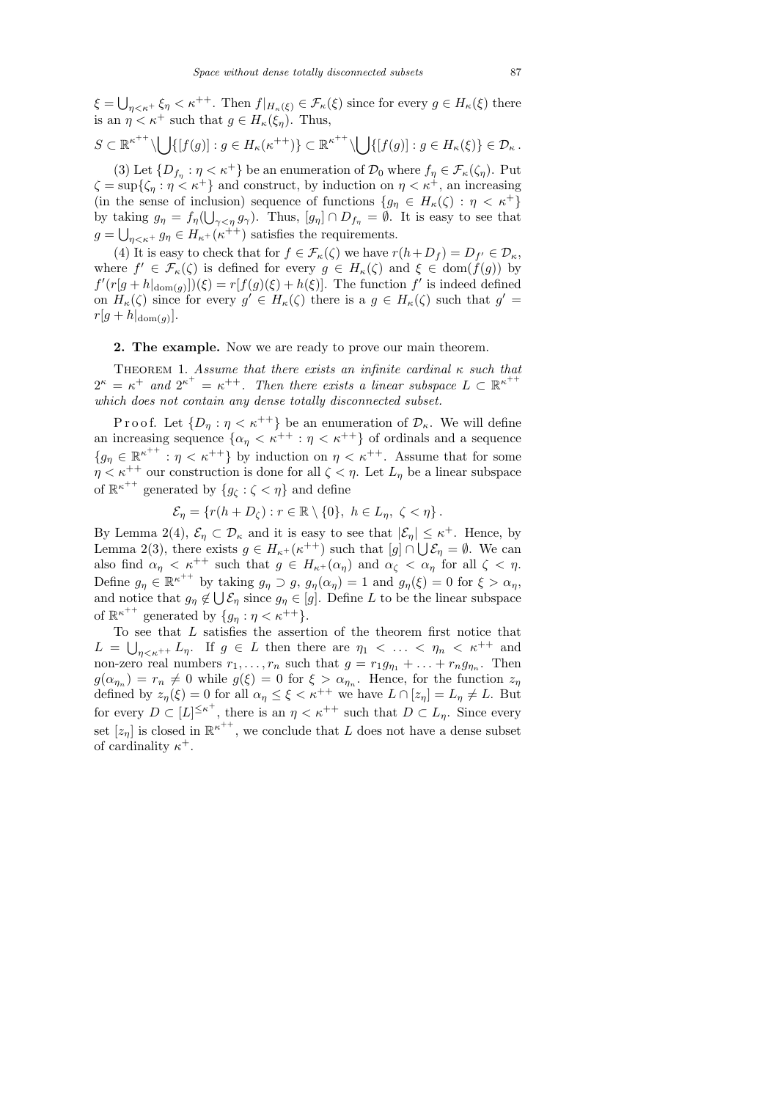$\xi = \bigcup_{\eta < \kappa^+} \xi_{\eta} < \kappa^{++}$ . Then  $f|_{H_{\kappa}(\xi)} \in \mathcal{F}_{\kappa}(\xi)$  since for every  $g \in H_{\kappa}(\xi)$  there is an  $\eta < \kappa^+$  such that  $g \in H_{\kappa}(\xi_n)$ . Thus,

$$
S\subset \mathbb{R}^{\kappa^{++}}\setminus \bigcup \{[f(g)]: g\in H_{\kappa}(\kappa^{++})\}\subset \mathbb{R}^{\kappa^{++}}\setminus \bigcup \{[f(g)]: g\in H_{\kappa}(\xi)\}\in \mathcal{D}_{\kappa}.
$$

(3) Let  $\{D_{f_\eta} : \eta < \kappa^+\}\$  be an enumeration of  $\mathcal{D}_0$  where  $f_\eta \in \mathcal{F}_{\kappa}(\zeta_\eta)$ . Put  $\zeta = \sup\{\zeta_n : \eta < \kappa^+\}\$ and construct, by induction on  $\eta < \kappa^+$ , an increasing (in the sense of inclusion) sequence of functions  $\{g_\eta \in H_\kappa(\zeta) : \eta < \kappa^+\}\$ by taking  $g_{\eta} = f_{\eta}(\bigcup_{\gamma < \eta} g_{\gamma}).$  Thus,  $[g_{\eta}] \cap D_{f_{\eta}} = \emptyset$ . It is easy to see that  $g = \bigcup_{\eta < \kappa^+} g_\eta \in H_{\kappa^+}(\kappa^{++})$  satisfies the requirements.

(4) It is easy to check that for  $f \in \mathcal{F}_{\kappa}(\zeta)$  we have  $r(h+D_f) = D_{f'} \in \mathcal{D}_{\kappa}$ , where  $f' \in \mathcal{F}_{\kappa}(\zeta)$  is defined for every  $g \in H_{\kappa}(\zeta)$  and  $\xi \in \text{dom}(f(g))$  by  $f'(r[g+h|_{\text{dom}(g)}])(\xi) = r[f(g)(\xi) + h(\xi)].$  The function  $f'$  is indeed defined on  $H_{\kappa}(\zeta)$  since for every  $g' \in H_{\kappa}(\zeta)$  there is a  $g \in H_{\kappa}(\zeta)$  such that  $g' =$  $r[g+h|_{\text{dom}(g)}].$ 

2. The example. Now we are ready to prove our main theorem.

THEOREM 1. Assume that there exists an infinite cardinal  $\kappa$  such that  $2^{\kappa} = \kappa^+$  and  $2^{\kappa^+} = \kappa^{++}$ . Then there exists a linear subspace  $L \subset \mathbb{R}^{\kappa^{++}}$ which does not contain any dense totally disconnected subset.

P r o o f. Let  $\{D_n : \eta < \kappa^{++}\}\$ be an enumeration of  $\mathcal{D}_\kappa$ . We will define an increasing sequence  $\{\alpha_{\eta} < \kappa^{++} : \eta < \kappa^{++}\}\$  of ordinals and a sequence  ${g_{\eta} \in \mathbb{R}^{\kappa^{++}} : \eta < \kappa^{++}$  by induction on  $\eta < \kappa^{++}$ . Assume that for some  $\eta < \kappa^{++}$  our construction is done for all  $\zeta < \eta$ . Let  $L_{\eta}$  be a linear subspace of  $\mathbb{R}^{\kappa^{++}}$  generated by  $\{g_{\zeta}:\zeta<\eta\}$  and define

$$
\mathcal{E}_{\eta} = \{r(h + D_{\zeta}) : r \in \mathbb{R} \setminus \{0\}, \ h \in L_{\eta}, \ \zeta < \eta\}.
$$

By Lemma 2(4),  $\mathcal{E}_{\eta} \subset \mathcal{D}_{\kappa}$  and it is easy to see that  $|\mathcal{E}_{\eta}| \leq \kappa^+$ . Hence, by Lemma 2(3), there exists  $g \in H_{\kappa^+}(\kappa^{++})$  such that  $[g] \cap \bigcup \mathcal{E}_{\eta} = \emptyset$ . We can also find  $\alpha_{\eta} < \kappa^{++}$  such that  $g \in H_{\kappa^+}(\alpha_{\eta})$  and  $\alpha_{\zeta} < \alpha_{\eta}$  for all  $\zeta < \eta$ . Define  $g_{\eta} \in \mathbb{R}^{\kappa^{++}}$  by taking  $g_{\eta} \supset g$ ,  $g_{\eta}(\alpha_{\eta}) = 1$  and  $g_{\eta}(\xi) = 0$  for  $\xi > \alpha_{\eta}$ , and notice that  $g_{\eta} \notin \bigcup \mathcal{E}_{\eta}$  since  $g_{\eta} \in [g]$ . Define L to be the linear subspace of  $\mathbb{R}^{\kappa^{++}}$  generated by  $\{g_{\eta} : \eta < \kappa^{++}\}.$ 

To see that  $L$  satisfies the assertion of the theorem first notice that  $L = \bigcup_{\eta < \kappa^{++}} L_{\eta}$ . If  $g \in L$  then there are  $\eta_1 < \ldots < \eta_n < \kappa^{++}$  and non-zero real numbers  $r_1, \ldots, r_n$  such that  $g = r_1 g_{\eta_1} + \ldots + r_n g_{\eta_n}$ . Then  $g(\alpha_{\eta_n}) = r_n \neq 0$  while  $g(\xi) = 0$  for  $\xi > \alpha_{\eta_n}$ . Hence, for the function  $z_{\eta}$ defined by  $z_{\eta}(\xi) = 0$  for all  $\alpha_{\eta} \leq \xi < \kappa^{++}$  we have  $L \cap [z_{\eta}] = L_{\eta} \neq L$ . But for every  $D \subset [L]^{\leq \kappa^+}$ , there is an  $\eta < \kappa^{++}$  such that  $D \subset L_{\eta}$ . Since every set  $[z_n]$  is closed in  $\mathbb{R}^{\kappa^{++}}$ , we conclude that L does not have a dense subset of cardinality  $\kappa^+$ .